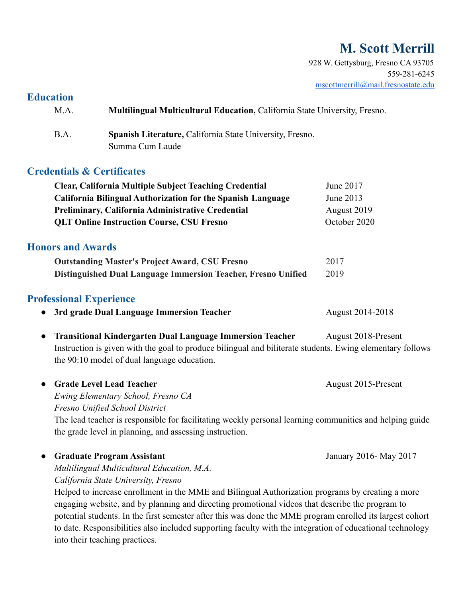# **M. Scott Merrill**

928 W. Gettysburg, Fresno CA 93705 559-281-6245 [mscottmerrill@mail.fresnostate.edu](mailto:mscottmerrill@mail.fresnostate.edu)

# **Education**

M.A. **Multilingual Multicultural Education,** California State University, Fresno.

B.A. **Spanish Literature,** California State University, Fresno. Summa Cum Laude

# **Credentials & Certificates**

| <b>Clear, California Multiple Subject Teaching Credential</b>                             | June 2017                                          |
|-------------------------------------------------------------------------------------------|----------------------------------------------------|
| <b>California Bilingual Authorization for the Spanish Language</b>                        | June 2013                                          |
| Preliminary, California Administrative Credential                                         | August 2019                                        |
| <b>QLT Online Instruction Course, CSU Fresno</b>                                          | October 2020                                       |
| <b>Honors and Awards</b>                                                                  |                                                    |
| <b>Outstanding Master's Project Award, CSU Fresno</b>                                     | 2017                                               |
| Distinguished Dual Language Immersion Teacher, Fresno Unified                             | 2019                                               |
| <b>Professional Experience</b>                                                            |                                                    |
| 3rd grade Dual Language Immersion Teacher<br>$\bullet$                                    | August 2014-2018                                   |
| The condition of 172. January 19. 11. 11. The concerns 1. The condition Theorie Condition | $\lambda$ = = = = $\pm$ 0.01.0 $\mu$ = = = = $\pm$ |

**Transitional Kindergarten Dual Language Immersion Teacher August 2018-Present** Instruction is given with the goal to produce bilingual and biliterate students. Ewing elementary follows the 90:10 model of dual language education.

• Grade Level Lead Teacher **August 2015-Present** *Ewing Elementary School, Fresno CA Fresno Unified School District* The lead teacher is responsible for facilitating weekly personal learning communities and helping guide

**● Graduate Program Assistant** January 2016- May 2017 *Multilingual Multicultural Education, M.A. California State University, Fresno*

the grade level in planning, and assessing instruction.

Helped to increase enrollment in the MME and Bilingual Authorization programs by creating a more engaging website, and by planning and directing promotional videos that describe the program to potential students. In the first semester after this was done the MME program enrolled its largest cohort to date. Responsibilities also included supporting faculty with the integration of educational technology into their teaching practices.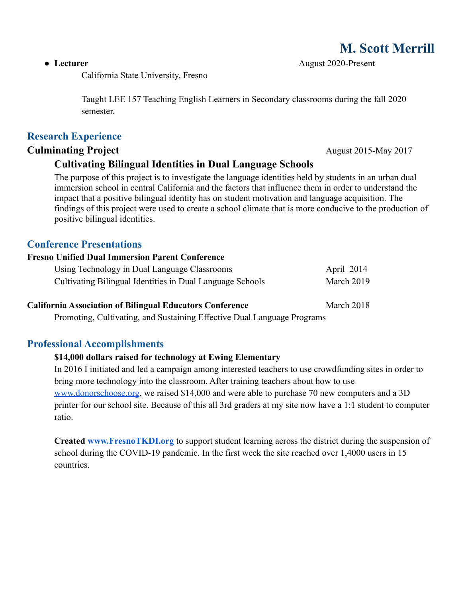California State University, Fresno

Taught LEE 157 Teaching English Learners in Secondary classrooms during the fall 2020 semester.

## **Research Experience**

**Culminating Project** August 2015-May 2017

## **Cultivating Bilingual Identities in Dual Language Schools**

The purpose of this project is to investigate the language identities held by students in an urban dual immersion school in central California and the factors that influence them in order to understand the impact that a positive bilingual identity has on student motivation and language acquisition. The findings of this project were used to create a school climate that is more conducive to the production of positive bilingual identities.

## **Conference Presentations**

#### **Fresno Unified Dual Immersion Parent Conference**

| Using Technology in Dual Language Classrooms              | April 2014 |
|-----------------------------------------------------------|------------|
| Cultivating Bilingual Identities in Dual Language Schools | March 2019 |

#### **California Association of Bilingual Educators Conference** March 2018

Promoting, Cultivating, and Sustaining Effective Dual Language Programs

## **Professional Accomplishments**

#### **\$14,000 dollars raised for technology at Ewing Elementary**

In 2016 I initiated and led a campaign among interested teachers to use crowdfunding sites in order to bring more technology into the classroom. After training teachers about how to use [www.donorschoose.org,](http://www.donorschoose.org) we raised \$14,000 and were able to purchase 70 new computers and a 3D printer for our school site. Because of this all 3rd graders at my site now have a 1:1 student to computer ratio.

**Created [www.FresnoTKDI.org](http://www.fresnotkdi.org)** to support student learning across the district during the suspension of school during the COVID-19 pandemic. In the first week the site reached over 1,4000 users in 15 countries.

# **M. Scott Merrill**

**● Lecturer** August 2020-Present